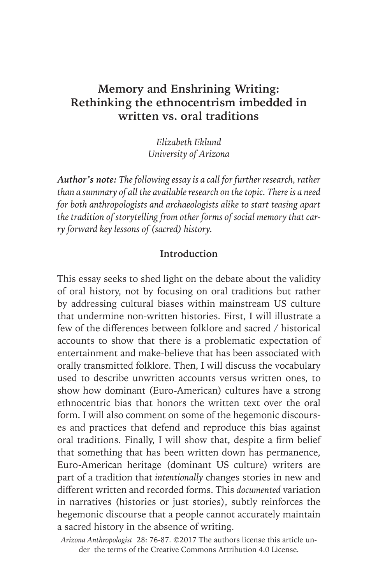# **Memory and Enshrining Writing: Rethinking the ethnocentrism imbedded in written vs. oral traditions**

*Elizabeth Eklund University of Arizona*

*Author's note: The following essay is a call for further research, rather than a summary of all the available research on the topic. There is a need for both anthropologists and archaeologists alike to start teasing apart the tradition of storytelling from other forms of social memory that carry forward key lessons of (sacred) history.* 

## **Introduction**

This essay seeks to shed light on the debate about the validity of oral history, not by focusing on oral traditions but rather by addressing cultural biases within mainstream US culture that undermine non-written histories. First, I will illustrate a few of the differences between folklore and sacred / historical accounts to show that there is a problematic expectation of entertainment and make-believe that has been associated with orally transmitted folklore. Then, I will discuss the vocabulary used to describe unwritten accounts versus written ones, to show how dominant (Euro-American) cultures have a strong ethnocentric bias that honors the written text over the oral form. I will also comment on some of the hegemonic discourses and practices that defend and reproduce this bias against oral traditions. Finally, I will show that, despite a firm belief that something that has been written down has permanence, Euro-American heritage (dominant US culture) writers are part of a tradition that *intentionally* changes stories in new and different written and recorded forms. This *documented* variation in narratives (histories or just stories), subtly reinforces the hegemonic discourse that a people cannot accurately maintain a sacred history in the absence of writing.

*Arizona Anthropologist* 28: 76-87. ©2017 The authors license this article under the terms of the Creative Commons Attribution 4.0 License.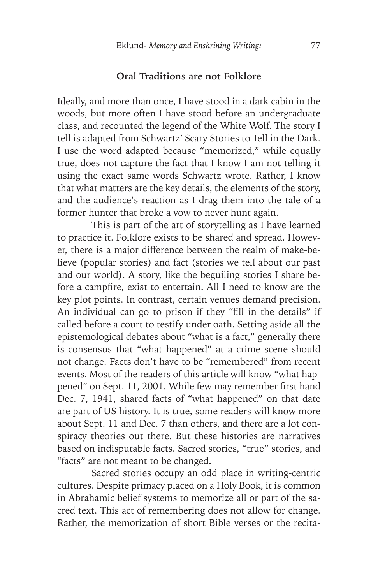#### **Oral Traditions are not Folklore**

Ideally, and more than once, I have stood in a dark cabin in the woods, but more often I have stood before an undergraduate class, and recounted the legend of the White Wolf. The story I tell is adapted from Schwartz' Scary Stories to Tell in the Dark. I use the word adapted because "memorized," while equally true, does not capture the fact that I know I am not telling it using the exact same words Schwartz wrote. Rather, I know that what matters are the key details, the elements of the story, and the audience's reaction as I drag them into the tale of a former hunter that broke a vow to never hunt again.

This is part of the art of storytelling as I have learned to practice it. Folklore exists to be shared and spread. However, there is a major difference between the realm of make-believe (popular stories) and fact (stories we tell about our past and our world). A story, like the beguiling stories I share before a campfire, exist to entertain. All I need to know are the key plot points. In contrast, certain venues demand precision. An individual can go to prison if they "fill in the details" if called before a court to testify under oath. Setting aside all the epistemological debates about "what is a fact," generally there is consensus that "what happened" at a crime scene should not change. Facts don't have to be "remembered" from recent events. Most of the readers of this article will know "what happened" on Sept. 11, 2001. While few may remember first hand Dec. 7, 1941, shared facts of "what happened" on that date are part of US history. It is true, some readers will know more about Sept. 11 and Dec. 7 than others, and there are a lot conspiracy theories out there. But these histories are narratives based on indisputable facts. Sacred stories, "true" stories, and "facts" are not meant to be changed.

Sacred stories occupy an odd place in writing-centric cultures. Despite primacy placed on a Holy Book, it is common in Abrahamic belief systems to memorize all or part of the sacred text. This act of remembering does not allow for change. Rather, the memorization of short Bible verses or the recita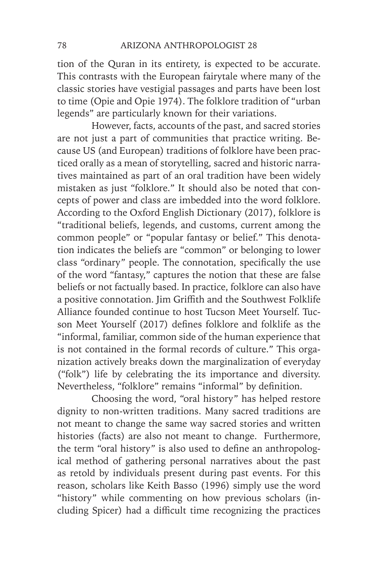tion of the Quran in its entirety, is expected to be accurate. This contrasts with the European fairytale where many of the classic stories have vestigial passages and parts have been lost to time (Opie and Opie 1974). The folklore tradition of "urban legends" are particularly known for their variations.

However, facts, accounts of the past, and sacred stories are not just a part of communities that practice writing. Because US (and European) traditions of folklore have been practiced orally as a mean of storytelling, sacred and historic narratives maintained as part of an oral tradition have been widely mistaken as just "folklore." It should also be noted that concepts of power and class are imbedded into the word folklore. According to the Oxford English Dictionary (2017), folklore is "traditional beliefs, legends, and customs, current among the common people" or "popular fantasy or belief." This denotation indicates the beliefs are "common" or belonging to lower class "ordinary" people. The connotation, specifically the use of the word "fantasy," captures the notion that these are false beliefs or not factually based. In practice, folklore can also have a positive connotation. Jim Griffith and the Southwest Folklife Alliance founded continue to host Tucson Meet Yourself. Tucson Meet Yourself (2017) defines folklore and folklife as the "informal, familiar, common side of the human experience that is not contained in the formal records of culture." This organization actively breaks down the marginalization of everyday ("folk") life by celebrating the its importance and diversity. Nevertheless, "folklore" remains "informal" by definition.

Choosing the word, "oral history" has helped restore dignity to non-written traditions. Many sacred traditions are not meant to change the same way sacred stories and written histories (facts) are also not meant to change. Furthermore, the term "oral history" is also used to define an anthropological method of gathering personal narratives about the past as retold by individuals present during past events. For this reason, scholars like Keith Basso (1996) simply use the word "history" while commenting on how previous scholars (including Spicer) had a difficult time recognizing the practices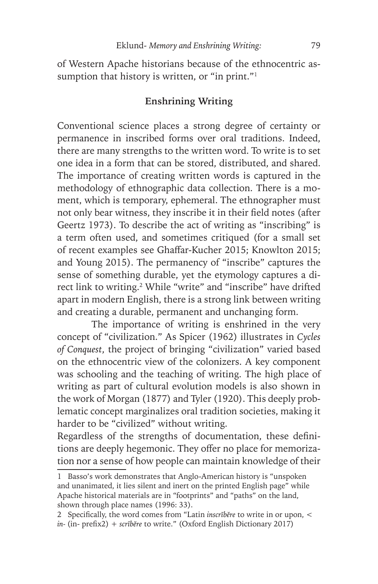of Western Apache historians because of the ethnocentric assumption that history is written, or "in print."<sup>1</sup>

## **Enshrining Writing**

Conventional science places a strong degree of certainty or permanence in inscribed forms over oral traditions. Indeed, there are many strengths to the written word. To write is to set one idea in a form that can be stored, distributed, and shared. The importance of creating written words is captured in the methodology of ethnographic data collection. There is a moment, which is temporary, ephemeral. The ethnographer must not only bear witness, they inscribe it in their field notes (after Geertz 1973). To describe the act of writing as "inscribing" is a term often used, and sometimes critiqued (for a small set of recent examples see Ghaffar-Kucher 2015; Knowlton 2015; and Young 2015). The permanency of "inscribe" captures the sense of something durable, yet the etymology captures a direct link to writing.2 While "write" and "inscribe" have drifted apart in modern English, there is a strong link between writing and creating a durable, permanent and unchanging form.

The importance of writing is enshrined in the very concept of "civilization." As Spicer (1962) illustrates in *Cycles of Conquest*, the project of bringing "civilization" varied based on the ethnocentric view of the colonizers. A key component was schooling and the teaching of writing. The high place of writing as part of cultural evolution models is also shown in the work of Morgan (1877) and Tyler (1920). This deeply problematic concept marginalizes oral tradition societies, making it harder to be "civilized" without writing.

Regardless of the strengths of documentation, these definitions are deeply hegemonic. They offer no place for memorization nor a sense of how people can maintain knowledge of their

<sup>1</sup> Basso's work demonstrates that Anglo-American history is "unspoken and unanimated, it lies silent and inert on the printed English page" while Apache historical materials are in "footprints" and "paths" on the land, shown through place names (1996: 33).

<sup>2</sup> Specifically, the word comes from "Latin *inscrībĕre* to write in or upon, < *in-* (in- prefix2) + *scrībĕre* to write." (Oxford English Dictionary 2017)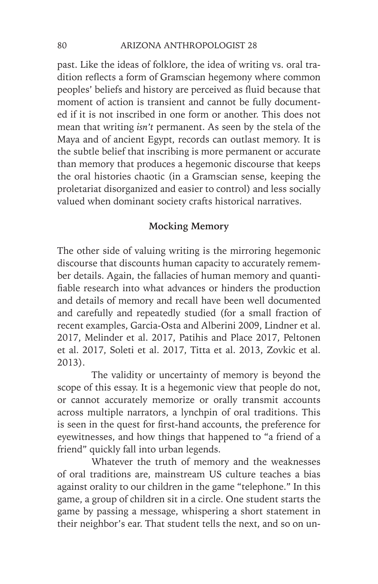past. Like the ideas of folklore, the idea of writing vs. oral tradition reflects a form of Gramscian hegemony where common peoples' beliefs and history are perceived as fluid because that moment of action is transient and cannot be fully documented if it is not inscribed in one form or another. This does not mean that writing *isn't* permanent. As seen by the stela of the Maya and of ancient Egypt, records can outlast memory. It is the subtle belief that inscribing is more permanent or accurate than memory that produces a hegemonic discourse that keeps the oral histories chaotic (in a Gramscian sense, keeping the proletariat disorganized and easier to control) and less socially valued when dominant society crafts historical narratives.

## **Mocking Memory**

The other side of valuing writing is the mirroring hegemonic discourse that discounts human capacity to accurately remember details. Again, the fallacies of human memory and quantifiable research into what advances or hinders the production and details of memory and recall have been well documented and carefully and repeatedly studied (for a small fraction of recent examples, Garcia-Osta and Alberini 2009, Lindner et al. 2017, Melinder et al. 2017, Patihis and Place 2017, Peltonen et al. 2017, Soleti et al. 2017, Titta et al. 2013, Zovkic et al. 2013).

The validity or uncertainty of memory is beyond the scope of this essay. It is a hegemonic view that people do not, or cannot accurately memorize or orally transmit accounts across multiple narrators, a lynchpin of oral traditions. This is seen in the quest for first-hand accounts, the preference for eyewitnesses, and how things that happened to "a friend of a friend" quickly fall into urban legends.

Whatever the truth of memory and the weaknesses of oral traditions are, mainstream US culture teaches a bias against orality to our children in the game "telephone." In this game, a group of children sit in a circle. One student starts the game by passing a message, whispering a short statement in their neighbor's ear. That student tells the next, and so on un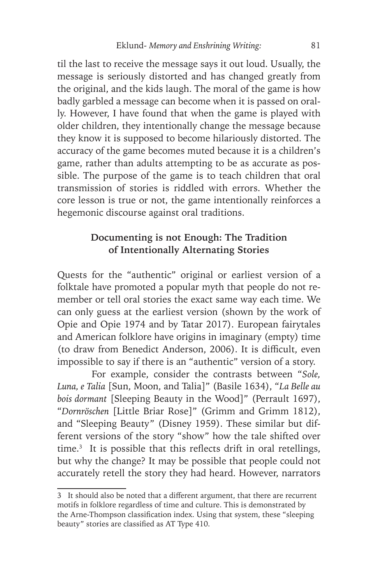til the last to receive the message says it out loud. Usually, the message is seriously distorted and has changed greatly from the original, and the kids laugh. The moral of the game is how badly garbled a message can become when it is passed on orally. However, I have found that when the game is played with older children, they intentionally change the message because they know it is supposed to become hilariously distorted. The accuracy of the game becomes muted because it is a children's game, rather than adults attempting to be as accurate as possible. The purpose of the game is to teach children that oral transmission of stories is riddled with errors. Whether the core lesson is true or not, the game intentionally reinforces a hegemonic discourse against oral traditions.

## **Documenting is not Enough: The Tradition of Intentionally Alternating Stories**

Quests for the "authentic" original or earliest version of a folktale have promoted a popular myth that people do not remember or tell oral stories the exact same way each time. We can only guess at the earliest version (shown by the work of Opie and Opie 1974 and by Tatar 2017). European fairytales and American folklore have origins in imaginary (empty) time (to draw from Benedict Anderson, 2006). It is difficult, even impossible to say if there is an "authentic" version of a story.

For example, consider the contrasts between "*Sole, Luna, e Talia* [Sun, Moon, and Talia]" (Basile 1634), "*La Belle au bois dormant* [Sleeping Beauty in the Wood]" (Perrault 1697), "*Dornröschen* [Little Briar Rose]" (Grimm and Grimm 1812), and "Sleeping Beauty" (Disney 1959). These similar but different versions of the story "show" how the tale shifted over time.3 It is possible that this reflects drift in oral retellings, but why the change? It may be possible that people could not accurately retell the story they had heard. However, narrators

<sup>3</sup> It should also be noted that a different argument, that there are recurrent motifs in folklore regardless of time and culture. This is demonstrated by the Arne-Thompson classification index. Using that system, these "sleeping beauty" stories are classified as AT Type 410.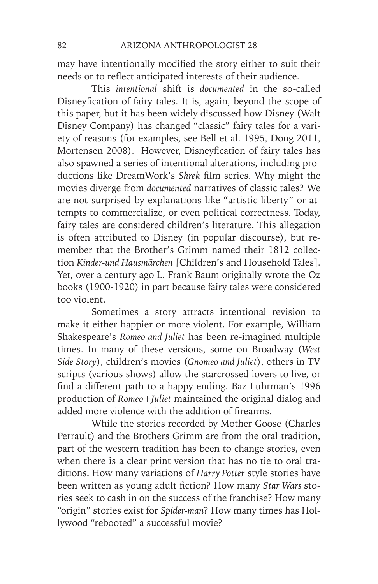may have intentionally modified the story either to suit their needs or to reflect anticipated interests of their audience.

This *intentional* shift is *documented* in the so-called Disneyfication of fairy tales. It is, again, beyond the scope of this paper, but it has been widely discussed how Disney (Walt Disney Company) has changed "classic" fairy tales for a variety of reasons (for examples, see Bell et al. 1995, Dong 2011, Mortensen 2008). However, Disneyfication of fairy tales has also spawned a series of intentional alterations, including productions like DreamWork's *Shrek* film series. Why might the movies diverge from *documented* narratives of classic tales? We are not surprised by explanations like "artistic liberty" or attempts to commercialize, or even political correctness. Today, fairy tales are considered children's literature. This allegation is often attributed to Disney (in popular discourse), but remember that the Brother's Grimm named their 1812 collection *Kinder-und Hausmärchen* [Children's and Household Tales]. Yet, over a century ago L. Frank Baum originally wrote the Oz books (1900-1920) in part because fairy tales were considered too violent.

Sometimes a story attracts intentional revision to make it either happier or more violent. For example, William Shakespeare's *Romeo and Juliet* has been re-imagined multiple times. In many of these versions, some on Broadway (*West Side Story*), children's movies (*Gnomeo and Juliet*), others in TV scripts (various shows) allow the starcrossed lovers to live, or find a different path to a happy ending. Baz Luhrman's 1996 production of *Romeo+Juliet* maintained the original dialog and added more violence with the addition of firearms.

While the stories recorded by Mother Goose (Charles Perrault) and the Brothers Grimm are from the oral tradition, part of the western tradition has been to change stories, even when there is a clear print version that has no tie to oral traditions. How many variations of *Harry Potter* style stories have been written as young adult fiction? How many *Star Wars* stories seek to cash in on the success of the franchise? How many "origin" stories exist for *Spider-man*? How many times has Hollywood "rebooted" a successful movie?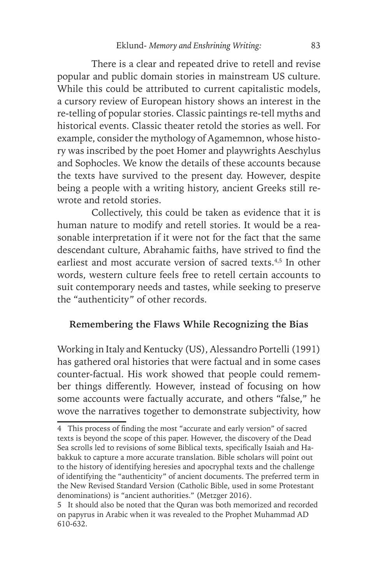There is a clear and repeated drive to retell and revise popular and public domain stories in mainstream US culture. While this could be attributed to current capitalistic models, a cursory review of European history shows an interest in the re-telling of popular stories. Classic paintings re-tell myths and historical events. Classic theater retold the stories as well. For example, consider the mythology of Agamemnon, whose history was inscribed by the poet Homer and playwrights Aeschylus and Sophocles. We know the details of these accounts because the texts have survived to the present day. However, despite being a people with a writing history, ancient Greeks still rewrote and retold stories.

Collectively, this could be taken as evidence that it is human nature to modify and retell stories. It would be a reasonable interpretation if it were not for the fact that the same descendant culture, Abrahamic faiths, have strived to find the earliest and most accurate version of sacred texts.<sup>4,5</sup> In other words, western culture feels free to retell certain accounts to suit contemporary needs and tastes, while seeking to preserve the "authenticity" of other records.

# **Remembering the Flaws While Recognizing the Bias**

Working in Italy and Kentucky (US), Alessandro Portelli (1991) has gathered oral histories that were factual and in some cases counter-factual. His work showed that people could remember things differently. However, instead of focusing on how some accounts were factually accurate, and others "false," he wove the narratives together to demonstrate subjectivity, how

<sup>4</sup> This process of finding the most "accurate and early version" of sacred texts is beyond the scope of this paper. However, the discovery of the Dead Sea scrolls led to revisions of some Biblical texts, specifically Isaiah and Habakkuk to capture a more accurate translation. Bible scholars will point out to the history of identifying heresies and apocryphal texts and the challenge of identifying the "authenticity" of ancient documents. The preferred term in the New Revised Standard Version (Catholic Bible, used in some Protestant denominations) is "ancient authorities." (Metzger 2016).

<sup>5</sup> It should also be noted that the Quran was both memorized and recorded on papyrus in Arabic when it was revealed to the Prophet Muhammad AD 610-632.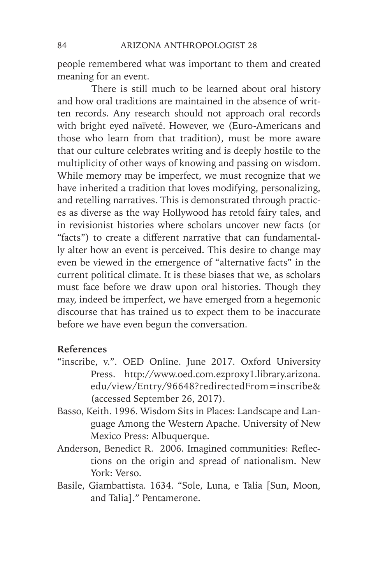people remembered what was important to them and created meaning for an event.

There is still much to be learned about oral history and how oral traditions are maintained in the absence of written records. Any research should not approach oral records with bright eyed naïveté. However, we (Euro-Americans and those who learn from that tradition), must be more aware that our culture celebrates writing and is deeply hostile to the multiplicity of other ways of knowing and passing on wisdom. While memory may be imperfect, we must recognize that we have inherited a tradition that loves modifying, personalizing, and retelling narratives. This is demonstrated through practices as diverse as the way Hollywood has retold fairy tales, and in revisionist histories where scholars uncover new facts (or "facts") to create a different narrative that can fundamentally alter how an event is perceived. This desire to change may even be viewed in the emergence of "alternative facts" in the current political climate. It is these biases that we, as scholars must face before we draw upon oral histories. Though they may, indeed be imperfect, we have emerged from a hegemonic discourse that has trained us to expect them to be inaccurate before we have even begun the conversation.

#### **References**

- "inscribe, v.". OED Online. June 2017. Oxford University Press. http://www.oed.com.ezproxy1.library.arizona. edu/view/Entry/96648?redirectedFrom=inscribe& (accessed September 26, 2017).
- Basso, Keith. 1996. Wisdom Sits in Places: Landscape and Language Among the Western Apache. University of New Mexico Press: Albuquerque.
- Anderson, Benedict R. 2006. Imagined communities: Reflections on the origin and spread of nationalism. New York: Verso.
- Basile, Giambattista. 1634. "Sole, Luna, e Talia [Sun, Moon, and Talia]." Pentamerone.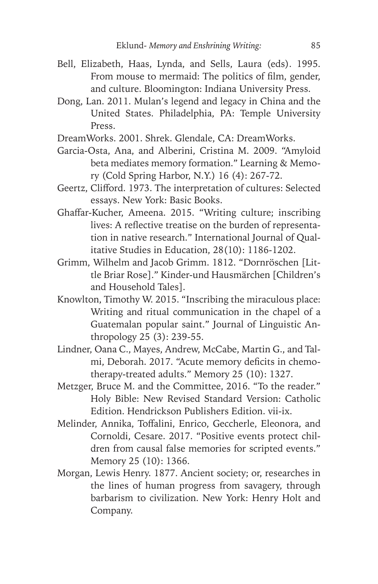- Bell, Elizabeth, Haas, Lynda, and Sells, Laura (eds). 1995. From mouse to mermaid: The politics of film, gender, and culture. Bloomington: Indiana University Press.
- Dong, Lan. 2011. Mulan's legend and legacy in China and the United States. Philadelphia, PA: Temple University Press.
- DreamWorks. 2001. Shrek. Glendale, CA: DreamWorks.
- Garcia-Osta, Ana, and Alberini, Cristina M. 2009. "Amyloid beta mediates memory formation." Learning & Memory (Cold Spring Harbor, N.Y.) 16 (4): 267-72.
- Geertz, Clifford. 1973. The interpretation of cultures: Selected essays. New York: Basic Books.
- Ghaffar-Kucher, Ameena. 2015. "Writing culture; inscribing lives: A reflective treatise on the burden of representation in native research." International Journal of Qualitative Studies in Education, 28(10): 1186-1202.
- Grimm, Wilhelm and Jacob Grimm. 1812. "Dornröschen [Little Briar Rose]." Kinder-und Hausmärchen [Children's and Household Tales].
- Knowlton, Timothy W. 2015. "Inscribing the miraculous place: Writing and ritual communication in the chapel of a Guatemalan popular saint." Journal of Linguistic Anthropology 25 (3): 239-55.
- Lindner, Oana C., Mayes, Andrew, McCabe, Martin G., and Talmi, Deborah. 2017. "Acute memory deficits in chemotherapy-treated adults." Memory 25 (10): 1327.
- Metzger, Bruce M. and the Committee, 2016. "To the reader." Holy Bible: New Revised Standard Version: Catholic Edition. Hendrickson Publishers Edition. vii-ix.
- Melinder, Annika, Toffalini, Enrico, Geccherle, Eleonora, and Cornoldi, Cesare. 2017. "Positive events protect children from causal false memories for scripted events." Memory 25 (10): 1366.
- Morgan, Lewis Henry. 1877. Ancient society; or, researches in the lines of human progress from savagery, through barbarism to civilization. New York: Henry Holt and Company.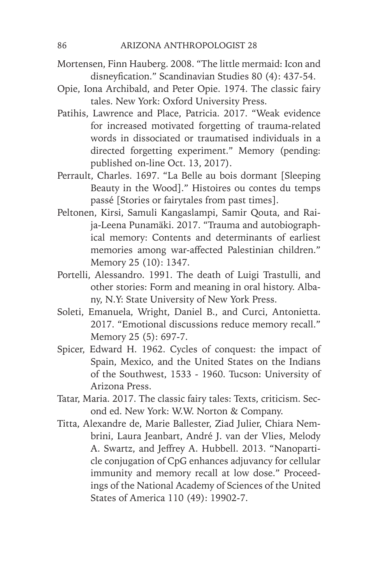- Mortensen, Finn Hauberg. 2008. "The little mermaid: Icon and disneyfication." Scandinavian Studies 80 (4): 437-54.
- Opie, Iona Archibald, and Peter Opie. 1974. The classic fairy tales. New York: Oxford University Press.
- Patihis, Lawrence and Place, Patricia. 2017. "Weak evidence for increased motivated forgetting of trauma-related words in dissociated or traumatised individuals in a directed forgetting experiment." Memory (pending: published on-line Oct. 13, 2017).
- Perrault, Charles. 1697. "La Belle au bois dormant [Sleeping Beauty in the Wood]." Histoires ou contes du temps passé [Stories or fairytales from past times].
- Peltonen, Kirsi, Samuli Kangaslampi, Samir Qouta, and Raija-Leena Punamäki. 2017. "Trauma and autobiographical memory: Contents and determinants of earliest memories among war-affected Palestinian children." Memory 25 (10): 1347.
- Portelli, Alessandro. 1991. The death of Luigi Trastulli, and other stories: Form and meaning in oral history. Albany, N.Y: State University of New York Press.
- Soleti, Emanuela, Wright, Daniel B., and Curci, Antonietta. 2017. "Emotional discussions reduce memory recall." Memory 25 (5): 697-7.
- Spicer, Edward H. 1962. Cycles of conquest: the impact of Spain, Mexico, and the United States on the Indians of the Southwest, 1533 - 1960. Tucson: University of Arizona Press.
- Tatar, Maria. 2017. The classic fairy tales: Texts, criticism. Second ed. New York: W.W. Norton & Company.
- Titta, Alexandre de, Marie Ballester, Ziad Julier, Chiara Nembrini, Laura Jeanbart, André J. van der Vlies, Melody A. Swartz, and Jeffrey A. Hubbell. 2013. "Nanoparticle conjugation of CpG enhances adjuvancy for cellular immunity and memory recall at low dose." Proceedings of the National Academy of Sciences of the United States of America 110 (49): 19902-7.